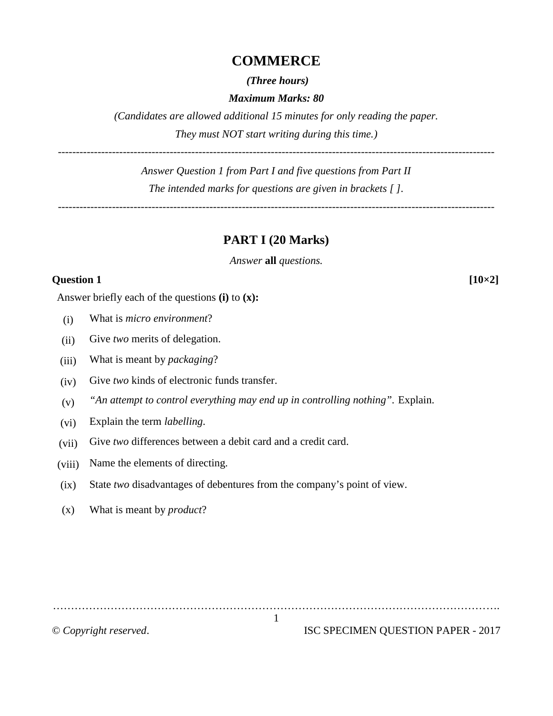#### **COMMERCE**

*(Three hours)*

*Maximum Marks: 80*

*(Candidates are allowed additional 15 minutes for only reading the paper. They must NOT start writing during this time.)*

*Answer Question 1 from Part I and five questions from Part II The intended marks for questions are given in brackets [ ].*

**PART I (20 Marks)**

*Answer* **all** *questions.*

#### **Question 1 [10×2]**

*-------------------------------------------------------------------------------------------------------------------------*

Answer briefly each of the questions **(i)** to **(x):**

- (i) What is *micro environment*?
- (ii) Give *two* merits of delegation.
- (iii) What is meant by *packaging*?
- (iv) Give *two* kinds of electronic funds transfer.
- (v) *"An attempt to control everything may end up in controlling nothing".* Explain.
- (vi) Explain the term *labelling*.
- (vii) Give *two* differences between a debit card and a credit card.
- (viii) Name the elements of directing.
- (ix) State *two* disadvantages of debentures from the company's point of view.
- (x) What is meant by *product*?

…………………………………………………………………………………………………………….

© *Copyright reserved*. ISC SPECIMEN QUESTION PAPER - 2017

1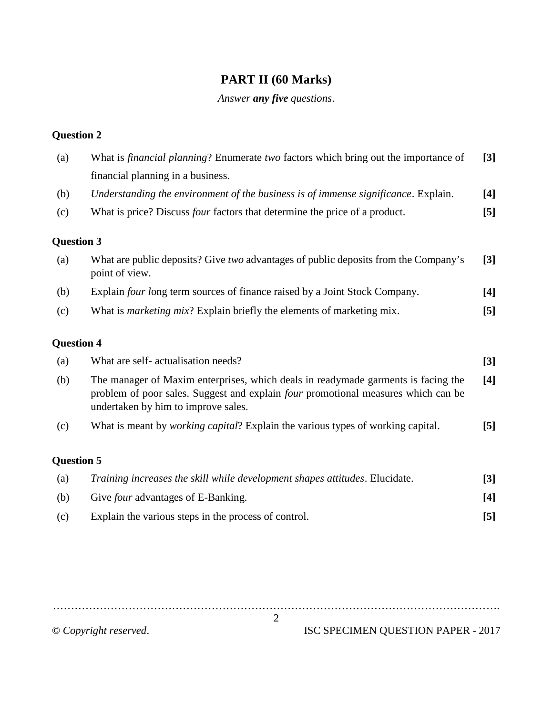# **PART II (60 Marks)**

## *Answer any five questions*.

## **Question 2**

| (a)               | What is <i>financial planning</i> ? Enumerate two factors which bring out the importance of                                                                                                                   | $[3]$            |
|-------------------|---------------------------------------------------------------------------------------------------------------------------------------------------------------------------------------------------------------|------------------|
|                   | financial planning in a business.                                                                                                                                                                             |                  |
| (b)               | Understanding the environment of the business is of immense significance. Explain.                                                                                                                            | $[4]$            |
| (c)               | What is price? Discuss <i>four</i> factors that determine the price of a product.                                                                                                                             | $\left[5\right]$ |
| <b>Question 3</b> |                                                                                                                                                                                                               |                  |
| (a)               | What are public deposits? Give two advantages of public deposits from the Company's<br>point of view.                                                                                                         | $[3]$            |
| (b)               | Explain four long term sources of finance raised by a Joint Stock Company.                                                                                                                                    | $[4]$            |
| (c)               | What is <i>marketing mix</i> ? Explain briefly the elements of marketing mix.                                                                                                                                 | $[5]$            |
| <b>Question 4</b> |                                                                                                                                                                                                               |                  |
| (a)               | What are self- actualisation needs?                                                                                                                                                                           | $[3]$            |
| (b)               | The manager of Maxim enterprises, which deals in readymade garments is facing the<br>problem of poor sales. Suggest and explain four promotional measures which can be<br>undertaken by him to improve sales. | [4]              |
| (c)               | What is meant by <i>working capital</i> ? Explain the various types of working capital.                                                                                                                       | [5]              |
| <b>Question 5</b> |                                                                                                                                                                                                               |                  |
| (a)               | Training increases the skill while development shapes attitudes. Elucidate.                                                                                                                                   | $[3]$            |
| (b)               | Give <i>four</i> advantages of E-Banking.                                                                                                                                                                     | $[4]$            |
| (c)               | Explain the various steps in the process of control.                                                                                                                                                          | [5]              |
|                   |                                                                                                                                                                                                               |                  |

……………………………………………………………………………………………………………. 2

© *Copyright reserved*. ISC SPECIMEN QUESTION PAPER - 2017